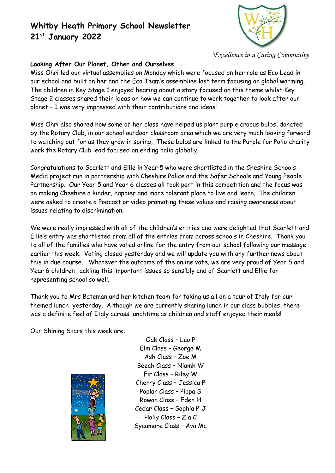

*'Excellence in a Caring Community'*

### **Looking After Our Planet, Other and Ourselves**

Miss Ohri led our virtual assemblies on Monday which were focused on her role as Eco Lead in our school and built on her and the Eco Team's assemblies last term focusing on global warming. The children in Key Stage 1 enjoyed hearing about a story focused on this theme whilst Key Stage 2 classes shared their ideas on how we can continue to work together to look after our planet – I was very impressed with their contributions and ideas!

Miss Ohri also shared how some of her class have helped us plant purple crocus bulbs, donated by the Rotary Club, in our school outdoor classroom area which we are very much looking forward to watching out for as they grow in spring, These bulbs are linked to the Purple for Polio charity work the Rotary Club lead focused on ending polio globally.

Congratulations to Scarlett and Ellie in Year 5 who were shortlisted in the Cheshire Schools Media project run in partnership with Cheshire Police and the Safer Schools and Young People Partnership. Our Year 5 and Year 6 classes all took part in this competition and the focus was on making Cheshire a kinder, happier and more tolerant place to live and learn. The children were asked to create a Podcast or video promoting these values and raising awareness about issues relating to discrimination.

We were really impressed with all of the children's entries and were delighted that Scarlett and Ellie's entry was shortlisted from all of the entries from across schools in Cheshire. Thank you to all of the families who have voted online for the entry from our school following our message earlier this week. Voting closed yesterday and we will update you with any further news about this in due course. Whatever the outcome of the online vote, we are very proud of Year 5 and Year 6 children tackling this important issues so sensibly and of Scarlett and Ellie for representing school so well.

Thank you to Mrs Bateman and her kitchen team for taking us all on a tour of Italy for our themed lunch yesterday. Although we are currently sharing lunch in our class bubbles, there was a definite feel of Italy across lunchtime as children and staff enjoyed their meals!

Our Shining Stars this week are:



Oak Class – Leo P Elm Class – George M Ash Class – Zoe M Beech Class – Niamh W Fir Class – Riley W Cherry Class – Jessica P Poplar Class – Pippa S Rowan Class – Eden H Cedar Class – Sophia P-J Holly Class – Zia C Sycamore Class – Ava Mc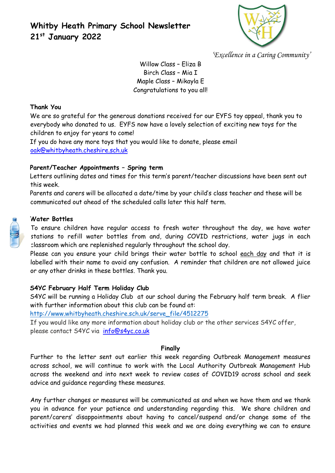

*'Excellence in a Caring Community'*

Willow Class – Eliza B Birch Class – Mia I Maple Class – Mikayla E Congratulations to you all!

#### **Thank You**

We are so grateful for the generous donations received for our EYFS toy appeal, thank you to everybody who donated to us. EYFS now have a lovely selection of exciting new toys for the children to enjoy for years to come!

If you do have any more toys that you would like to donate, please email [oak@whitbyheath.cheshire.sch.uk](mailto:oak@whitbyheath.cheshire.sch.uk)

### **Parent/Teacher Appointments – Spring term**

Letters outlining dates and times for this term's parent/teacher discussions have been sent out this week.

Parents and carers will be allocated a date/time by your child's class teacher and these will be communicated out ahead of the scheduled calls later this half term.

#### **Water Bottles**

To ensure children have regular access to fresh water throughout the day, we have water stations to refill water bottles from and, during COVID restrictions, water jugs in each classroom which are replenished regularly throughout the school day.

Please can you ensure your child brings their water bottle to school each day and that it is labelled with their name to avoid any confusion. A reminder that children are not allowed juice or any other drinks in these bottles. Thank you.

### **S4YC February Half Term Holiday Club**

S4YC will be running a Holiday Club at our school during the February half term break. A flier with further information about this club can be found at:

[http://www.whitbyheath.cheshire.sch.uk/serve\\_file/4512275](http://www.whitbyheath.cheshire.sch.uk/serve_file/4512275)

If you would like any more information about holiday club or the other services S4YC offer, please contact S4YC via [info@s4yc.co.uk](mailto:info@s4yc.co.uk)

#### **Finally**

Further to the letter sent out earlier this week regarding Outbreak Management measures across school, we will continue to work with the Local Authority Outbreak Management Hub across the weekend and into next week to review cases of COVID19 across school and seek advice and guidance regarding these measures.

Any further changes or measures will be communicated as and when we have them and we thank you in advance for your patience and understanding regarding this. We share children and parent/carers' disappointments about having to cancel/suspend and/or change some of the activities and events we had planned this week and we are doing everything we can to ensure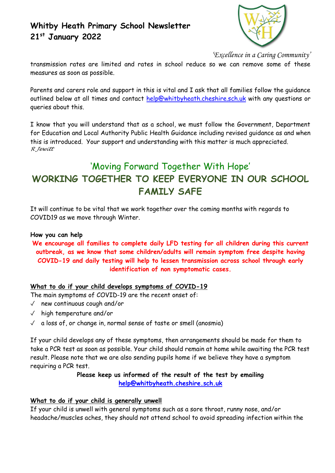

*'Excellence in a Caring Community'*

transmission rates are limited and rates in school reduce so we can remove some of these measures as soon as possible.

Parents and carers role and support in this is vital and I ask that all families follow the guidance outlined below at all times and contact [help@whitbyheath.cheshire.sch.uk](mailto:help@whitbyheath.cheshire.sch.uk) with any questions or queries about this.

I know that you will understand that as a school, we must follow the Government, Department for Education and Local Authority Public Health Guidance including revised guidance as and when this is introduced. Your support and understanding with this matter is much appreciated. *R Jewitt*

# 'Moving Forward Together With Hope' **WORKING TOGETHER TO KEEP EVERYONE IN OUR SCHOOL FAMILY SAFE**

It will continue to be vital that we work together over the coming months with regards to COVID19 as we move through Winter.

#### **How you can help**

**We encourage all families to complete daily LFD testing for all children during this current outbreak, as we know that some children/adults will remain symptom free despite having COVID-19 and daily testing will help to lessen transmission across school through early identification of non symptomatic cases.**

### **What to do if your child develops symptoms of COVID-19**

The main symptoms of COVID-19 are the recent onset of:

- ✓ new continuous cough and/or
- ✓ high temperature and/or
- $\sqrt{a}$  a loss of, or change in, normal sense of taste or smell (anosmia)

If your child develops any of these symptoms, then arrangements should be made for them to take a PCR test as soon as possible. Your child should remain at home while awaiting the PCR test result. Please note that we are also sending pupils home if we believe they have a symptom requiring a PCR test.

### **Please keep us informed of the result of the test by emailing [help@whitbyheath.cheshire.sch.uk](mailto:help@whitbyheath.cheshire.sch.uk)**

### **What to do if your child is generally unwell**

If your child is unwell with general symptoms such as a sore throat, runny nose, and/or headache/muscles aches, they should not attend school to avoid spreading infection within the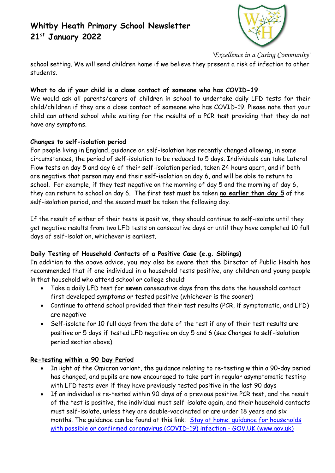

*'Excellence in a Caring Community'*

school setting. We will send children home if we believe they present a risk of infection to other students.

## **What to do if your child is a close contact of someone who has COVID-19**

We would ask all parents/carers of children in school to undertake daily LFD tests for their child/children if they are a close contact of someone who has COVID-19. Please note that your child can attend school while waiting for the results of a PCR test providing that they do not have any symptoms.

## **Changes to self-isolation period**

For people living in England, guidance on self-isolation has recently changed allowing, in some circumstances, the period of self-isolation to be reduced to 5 days. Individuals can take Lateral Flow tests on day 5 and day 6 of their self-isolation period, taken 24 hours apart, and if both are negative that person may end their self-isolation on day 6, and will be able to return to school. For example, if they test negative on the morning of day 5 and the morning of day 6, they can return to school on day 6. The first test must be taken **no earlier than day 5** of the self-isolation period, and the second must be taken the following day.

If the result of either of their tests is positive, they should continue to self-isolate until they get negative results from two LFD tests on consecutive days or until they have completed 10 full days of self-isolation, whichever is earliest.

## **Daily Testing of Household Contacts of a Positive Case (e.g. Siblings)**

In addition to the above advice, you may also be aware that the Director of Public Health has recommended that if one individual in a household tests positive, any children and young people in that household who attend school or college should:

- Take a daily LFD test for **seven** consecutive days from the date the household contact first developed symptoms or tested positive (whichever is the sooner)
- Continue to attend school provided that their test results (PCR, if symptomatic, and LFD) are negative
- Self-isolate for 10 full days from the date of the test if any of their test results are positive or 5 days if tested LFD negative on day 5 and 6 (see Changes to self-isolation period section above).

### **Re-testing within a 90 Day Period**

- In light of the Omicron variant, the guidance relating to re-testing within a 90-day period has changed, and pupils are now encouraged to take part in regular asymptomatic testing with LFD tests even if they have previously tested positive in the last 90 days
- If an individual is re-tested within 90 days of a previous positive PCR test, and the result of the test is positive, the individual must self-isolate again, and their household contacts must self-isolate, unless they are double-vaccinated or are under 18 years and six months. The guidance can be found at this link: Stay at home: guidance for households [with possible or confirmed coronavirus \(COVID-19\) infection -](https://www.gov.uk/government/publications/covid-19-stay-at-home-guidance/stay-at-home-guidance-for-households-with-possible-coronavirus-covid-19-infection) GOV.UK (www.gov.uk)